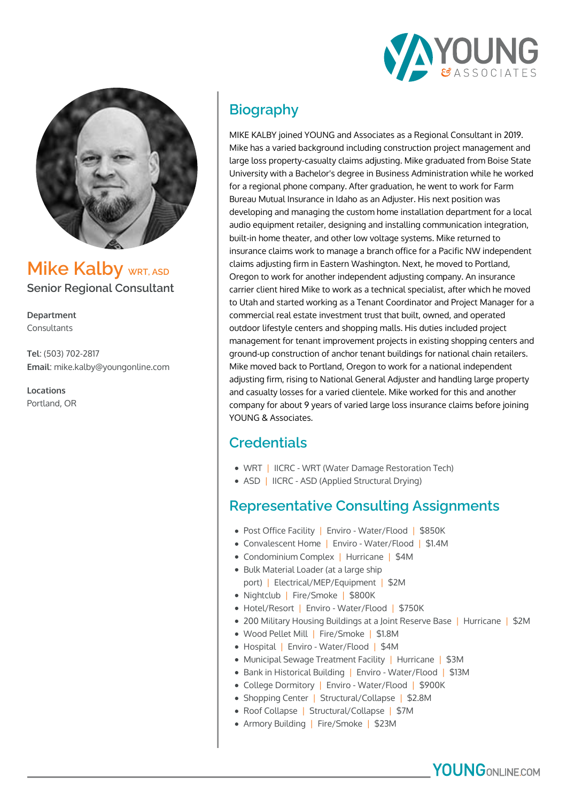



**Mike Kalby WRT, ASD Senior Regional Consultant**

**Department** Consultants

**Tel**: (503) 702-2817 **Email**: mike.kalby@youngonline.com

**Locations** Portland, OR

# **Biography**

MIKE KALBY joined YOUNG and Associates as a Regional Consultant in 2019. Mike has a varied background including construction project management and large loss property-casualty claims adjusting. Mike graduated from Boise State University with a Bachelor's degree in Business Administration while he worked for a regional phone company. After graduation, he went to work for Farm Bureau Mutual Insurance in Idaho as an Adjuster. His next position was developing and managing the custom home installation department for a local audio equipment retailer, designing and installing communication integration, built-in home theater, and other low voltage systems. Mike returned to insurance claims work to manage a branch office for a Pacific NW independent claims adjusting firm in Eastern Washington. Next, he moved to Portland, Oregon to work for another independent adjusting company. An insurance carrier client hired Mike to work as a technical specialist, after which he moved to Utah and started working as a Tenant Coordinator and Project Manager for a commercial real estate investment trust that built, owned, and operated outdoor lifestyle centers and shopping malls. His duties included project management for tenant improvement projects in existing shopping centers and ground-up construction of anchor tenant buildings for national chain retailers. Mike moved back to Portland, Oregon to work for a national independent adjusting firm, rising to National General Adjuster and handling large property and casualty losses for a varied clientele. Mike worked for this and another company for about 9 years of varied large loss insurance claims before joining YOUNG & Associates.

## **Credentials**

- WRT | IICRC WRT (Water Damage Restoration Tech)
- ASD | IICRC ASD (Applied Structural Drying)

#### **Representative Consulting Assignments**

- Post Office Facility | Enviro Water/Flood | \$850K
- Convalescent Home | Enviro Water/Flood | \$1.4M
- Condominium Complex | Hurricane | \$4M
- Bulk Material Loader (at a large ship port) | Electrical/MEP/Equipment | \$2M
- Nightclub | Fire/Smoke | \$800K
- Hotel/Resort | Enviro Water/Flood | \$750K
- 200 Military Housing Buildings at a Joint Reserve Base | Hurricane | \$2M
- Wood Pellet Mill | Fire/Smoke | \$1.8M
- Hospital | Enviro Water/Flood | \$4M
- Municipal Sewage Treatment Facility | Hurricane | \$3M
- Bank in Historical Building | Enviro Water/Flood | \$13M
- College Dormitory | Enviro Water/Flood | \$900K
- Shopping Center | Structural/Collapse | \$2.8M
- Roof Collapse | Structural/Collapse | \$7M
- Armory Building | Fire/Smoke | \$23M